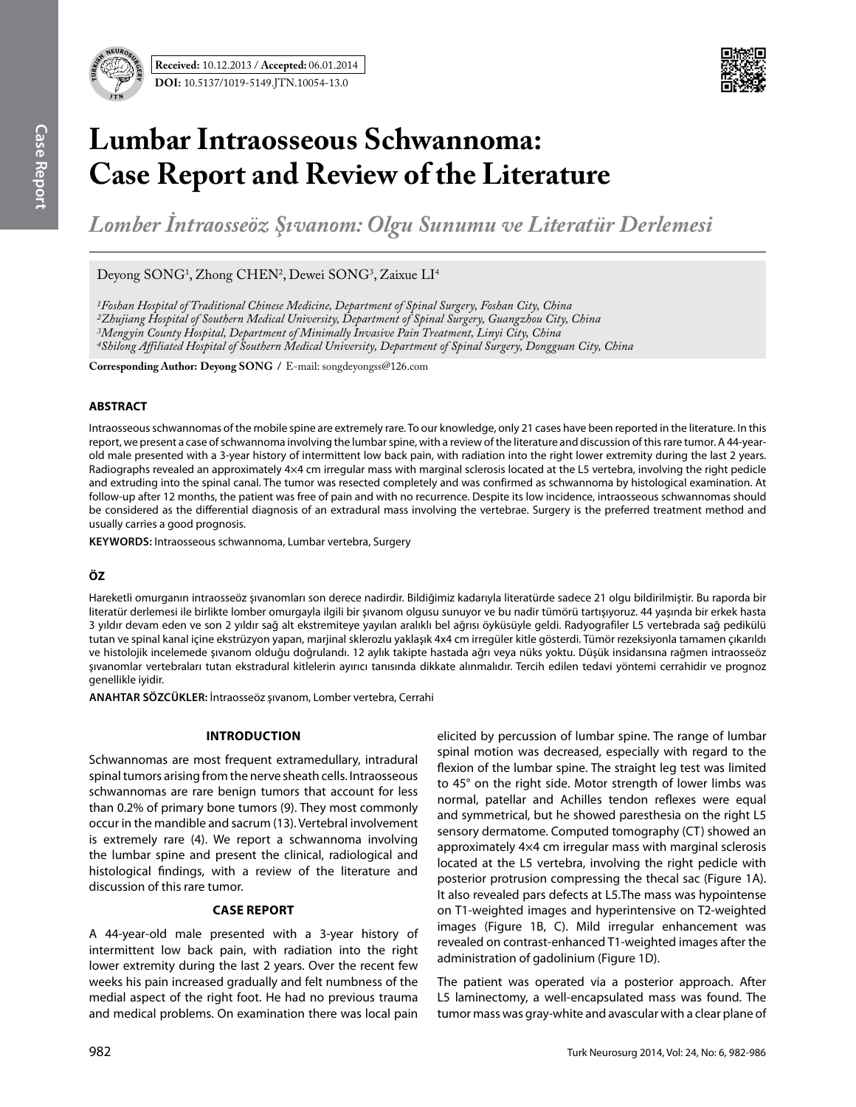



# **Lumbar Intraosseous Schwannoma: Case Report and Review of the Literature**

*Lomber İntraosseöz Şıvanom: Olgu Sunumu ve Literatür Derlemesi* 

Deyong SONG<sup>1</sup>, Zhong CHEN<sup>2</sup>, Dewei SONG<sup>3</sup>, Zaixue LI<sup>4</sup>

*1Foshan Hospital of Traditional Chinese Medicine, Department of Spinal Surgery, Foshan City, China*

*2Zhujiang Hospital of Southern Medical University, Department of Spinal Surgery, Guangzhou City, China*

*3Mengyin County Hospital, Department of Minimally Invasive Pain Treatment, Linyi City, China*

*4Shilong Affiliated Hospital of Southern Medical University, Department of Spinal Surgery, Dongguan City, China*

**Corresponding Author: Deyong Song /** E-mail: songdeyongss@126.com

## **ABSTRACT**

Intraosseous schwannomas of the mobile spine are extremely rare. To our knowledge, only 21 cases have been reported in the literature. In this report, we present a case of schwannoma involving the lumbar spine, with a review of the literature and discussion of this rare tumor. A 44-yearold male presented with a 3-year history of intermittent low back pain, with radiation into the right lower extremity during the last 2 years. Radiographs revealed an approximately 4×4 cm irregular mass with marginal sclerosis located at the L5 vertebra, involving the right pedicle and extruding into the spinal canal. The tumor was resected completely and was confirmed as schwannoma by histological examination. At follow-up after 12 months, the patient was free of pain and with no recurrence. Despite its low incidence, intraosseous schwannomas should be considered as the differential diagnosis of an extradural mass involving the vertebrae. Surgery is the preferred treatment method and usually carries a good prognosis.

**Keywords:** Intraosseous schwannoma, Lumbar vertebra, Surgery

## **ÖZ**

Hareketli omurganın intraosseöz şıvanomları son derece nadirdir. Bildiğimiz kadarıyla literatürde sadece 21 olgu bildirilmiştir. Bu raporda bir literatür derlemesi ile birlikte lomber omurgayla ilgili bir şıvanom olgusu sunuyor ve bu nadir tümörü tartışıyoruz. 44 yaşında bir erkek hasta 3 yıldır devam eden ve son 2 yıldır sağ alt ekstremiteye yayılan aralıklı bel ağrısı öyküsüyle geldi. Radyografiler L5 vertebrada sağ pedikülü tutan ve spinal kanal içine ekstrüzyon yapan, marjinal sklerozlu yaklaşık 4x4 cm irregüler kitle gösterdi. Tümör rezeksiyonla tamamen çıkarıldı ve histolojik incelemede şıvanom olduğu doğrulandı. 12 aylık takipte hastada ağrı veya nüks yoktu. Düşük insidansına rağmen intraosseöz şıvanomlar vertebraları tutan ekstradural kitlelerin ayırıcı tanısında dikkate alınmalıdır. Tercih edilen tedavi yöntemi cerrahidir ve prognoz genellikle iyidir.

**ANAHTAR SÖZCÜKLER:** İntraosseöz şıvanom, Lomber vertebra, Cerrahi

## **Introduction**

Schwannomas are most frequent extramedullary, intradural spinal tumors arising from the nerve sheath cells. Intraosseous schwannomas are rare benign tumors that account for less than 0.2% of primary bone tumors (9). They most commonly occur in the mandible and sacrum (13). Vertebral involvement is extremely rare (4). We report a schwannoma involving the lumbar spine and present the clinical, radiological and histological findings, with a review of the literature and discussion of this rare tumor.

## **Case Report**

A 44-year-old male presented with a 3-year history of intermittent low back pain, with radiation into the right lower extremity during the last 2 years. Over the recent few weeks his pain increased gradually and felt numbness of the medial aspect of the right foot. He had no previous trauma and medical problems. On examination there was local pain

elicited by percussion of lumbar spine. The range of lumbar spinal motion was decreased, especially with regard to the flexion of the lumbar spine. The straight leg test was limited to 45° on the right side. Motor strength of lower limbs was normal, patellar and Achilles tendon reflexes were equal and symmetrical, but he showed paresthesia on the right L5 sensory dermatome. Computed tomography (CT) showed an approximately 4×4 cm irregular mass with marginal sclerosis located at the L5 vertebra, involving the right pedicle with posterior protrusion compressing the thecal sac (Figure 1A). It also revealed pars defects at L5.The mass was hypointense on T1-weighted images and hyperintensive on T2-weighted images (Figure 1B, C). Mild irregular enhancement was revealed on contrast-enhanced T1-weighted images after the administration of gadolinium (Figure 1D).

The patient was operated via a posterior approach. After L5 laminectomy, a well-encapsulated mass was found. The tumor mass was gray-white and avascular with a clear plane of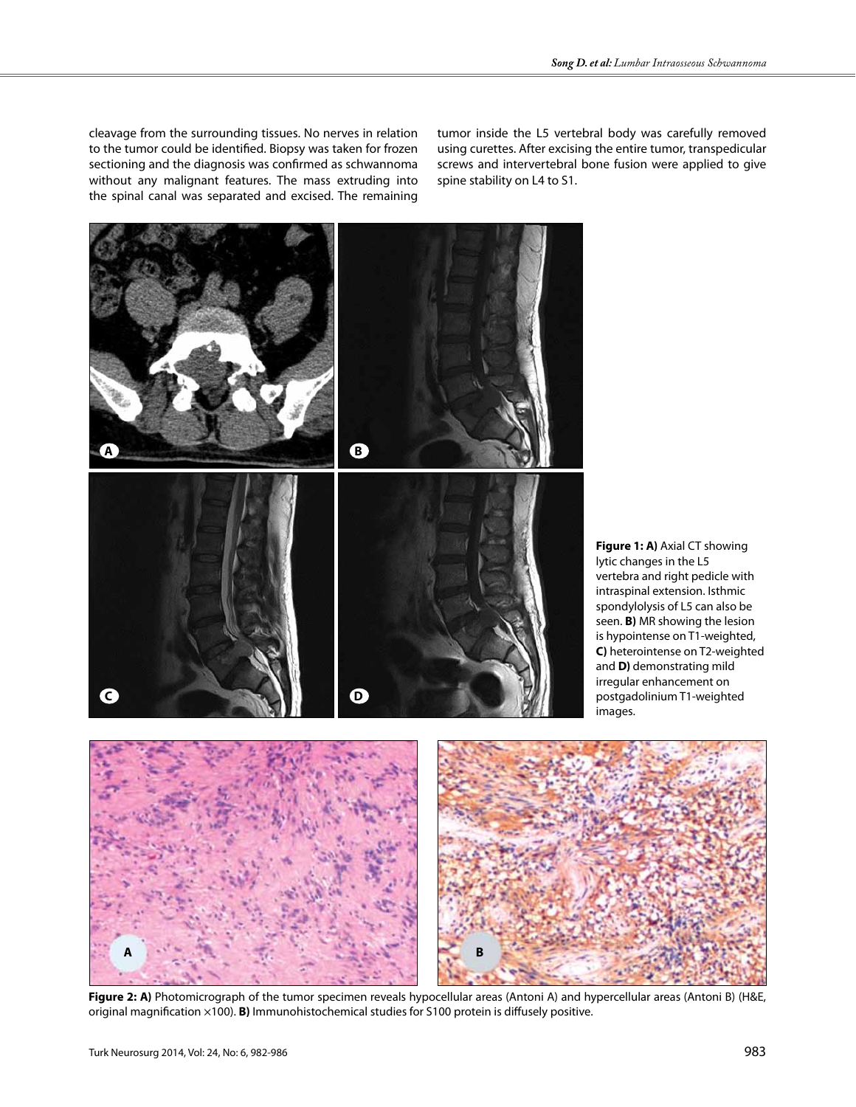cleavage from the surrounding tissues. No nerves in relation to the tumor could be identified. Biopsy was taken for frozen sectioning and the diagnosis was confirmed as schwannoma without any malignant features. The mass extruding into the spinal canal was separated and excised. The remaining

tumor inside the L5 vertebral body was carefully removed using curettes. After excising the entire tumor, transpedicular screws and intervertebral bone fusion were applied to give spine stability on L4 to S1.



**Figure 1: A)** Axial CT showing lytic changes in the L5 vertebra and right pedicle with intraspinal extension. Isthmic spondylolysis of L5 can also be seen. **B)** MR showing the lesion is hypointense on T1-weighted, **C)** heterointense on T2-weighted and **D)** demonstrating mild irregular enhancement on postgadolinium T1-weighted images.



**Figure 2: A)** Photomicrograph of the tumor specimen reveals hypocellular areas (Antoni A) and hypercellular areas (Antoni B) (H&E, original magnification ×100). **B)** Immunohistochemical studies for S100 protein is diffusely positive.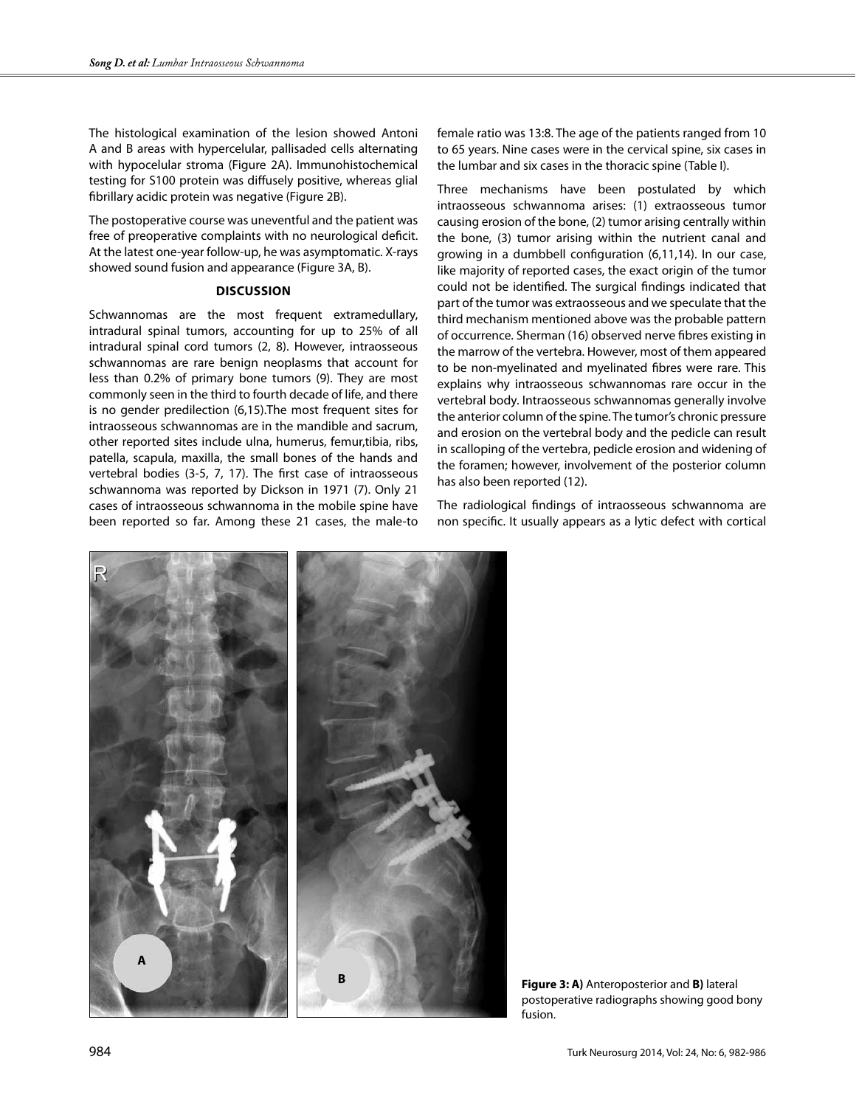The histological examination of the lesion showed Antoni A and B areas with hypercelular, pallisaded cells alternating with hypocelular stroma (Figure 2A). Immunohistochemical testing for S100 protein was diffusely positive, whereas glial fibrillary acidic protein was negative (Figure 2B).

The postoperative course was uneventful and the patient was free of preoperative complaints with no neurological deficit. At the latest one-year follow-up, he was asymptomatic. X-rays showed sound fusion and appearance (Figure 3A, B).

#### **Discussion**

Schwannomas are the most frequent extramedullary, intradural spinal tumors, accounting for up to 25% of all intradural spinal cord tumors (2, 8). However, intraosseous schwannomas are rare benign neoplasms that account for less than 0.2% of primary bone tumors (9). They are most commonly seen in the third to fourth decade of life, and there is no gender predilection (6,15).The most frequent sites for intraosseous schwannomas are in the mandible and sacrum, other reported sites include ulna, humerus, femur,tibia, ribs, patella, scapula, maxilla, the small bones of the hands and vertebral bodies (3-5, 7, 17). The first case of intraosseous schwannoma was reported by Dickson in 1971 (7). Only 21 cases of intraosseous schwannoma in the mobile spine have been reported so far. Among these 21 cases, the male-to

female ratio was 13:8. The age of the patients ranged from 10 to 65 years. Nine cases were in the cervical spine, six cases in the lumbar and six cases in the thoracic spine (Table I).

Three mechanisms have been postulated by which intraosseous schwannoma arises: (1) extraosseous tumor causing erosion of the bone, (2) tumor arising centrally within the bone, (3) tumor arising within the nutrient canal and growing in a dumbbell configuration (6,11,14). In our case, like majority of reported cases, the exact origin of the tumor could not be identified. The surgical findings indicated that part of the tumor was extraosseous and we speculate that the third mechanism mentioned above was the probable pattern of occurrence. Sherman (16) observed nerve fibres existing in the marrow of the vertebra. However, most of them appeared to be non-myelinated and myelinated fibres were rare. This explains why intraosseous schwannomas rare occur in the vertebral body. Intraosseous schwannomas generally involve the anterior column of the spine. The tumor's chronic pressure and erosion on the vertebral body and the pedicle can result in scalloping of the vertebra, pedicle erosion and widening of the foramen; however, involvement of the posterior column has also been reported (12).

The radiological findings of intraosseous schwannoma are non specific. It usually appears as a lytic defect with cortical



**Figure 3: A)** Anteroposterior and **B)** lateral postoperative radiographs showing good bony fusion.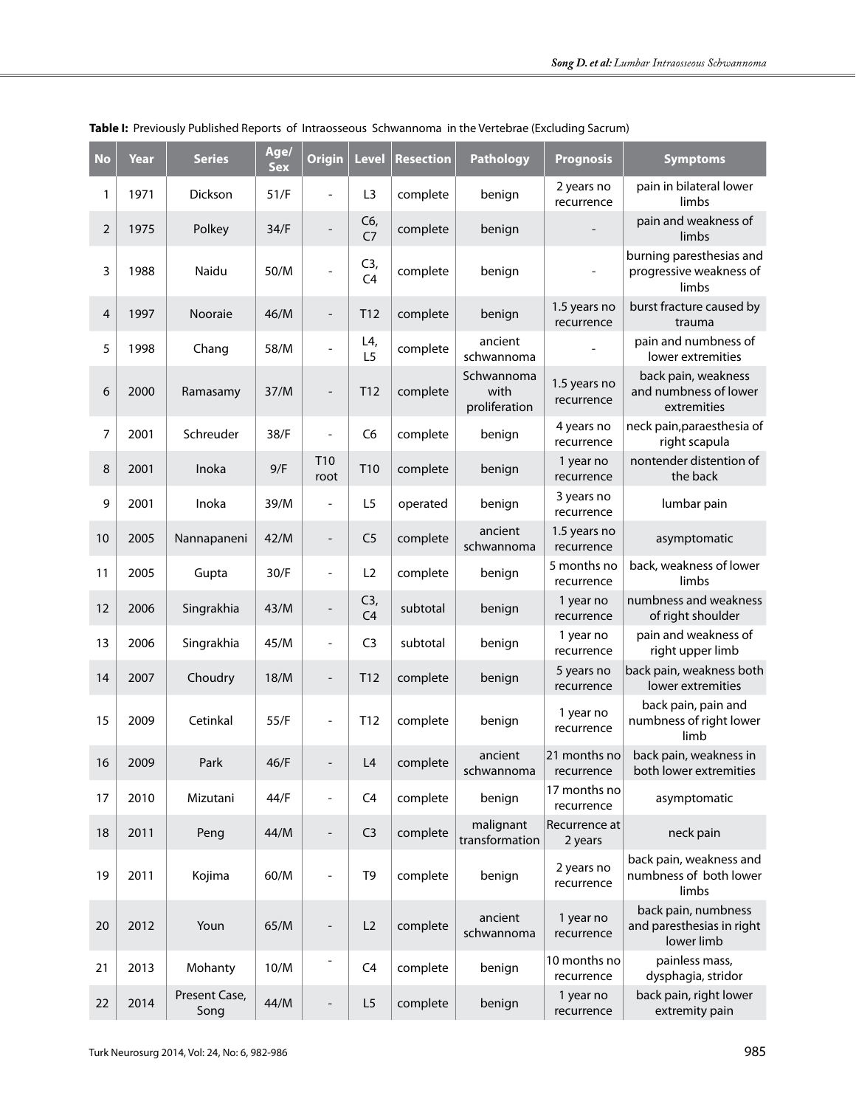| <b>No</b>      | Year | <b>Series</b>         | Age/<br><b>Sex</b> | <b>Origin</b>                | <b>Level</b>          | <b>Resection</b> | <b>Pathology</b>                    | <b>Prognosis</b>           | <b>Symptoms</b>                                                |
|----------------|------|-----------------------|--------------------|------------------------------|-----------------------|------------------|-------------------------------------|----------------------------|----------------------------------------------------------------|
| 1              | 1971 | Dickson               | 51/F               | L,                           | L <sub>3</sub>        | complete         | benign                              | 2 years no<br>recurrence   | pain in bilateral lower<br>limbs                               |
| $\overline{2}$ | 1975 | Polkey                | 34/F               | $\qquad \qquad -$            | C6,<br>C <sub>7</sub> | complete         | benign                              |                            | pain and weakness of<br>limbs                                  |
| 3              | 1988 | Naidu                 | 50/M               | $\frac{1}{2}$                | C3,<br>C <sub>4</sub> | complete         | benign                              | -                          | burning paresthesias and<br>progressive weakness of<br>limbs   |
| 4              | 1997 | Nooraie               | 46/M               | $\overline{\phantom{m}}$     | T12                   | complete         | benign                              | 1.5 years no<br>recurrence | burst fracture caused by<br>trauma                             |
| 5              | 1998 | Chang                 | 58/M               | $\qquad \qquad -$            | L4,<br>L <sub>5</sub> | complete         | ancient<br>schwannoma               |                            | pain and numbness of<br>lower extremities                      |
| 6              | 2000 | Ramasamy              | 37/M               | $\overline{a}$               | T <sub>12</sub>       | complete         | Schwannoma<br>with<br>proliferation | 1.5 years no<br>recurrence | back pain, weakness<br>and numbness of lower<br>extremities    |
| 7              | 2001 | Schreuder             | 38/F               | $\overline{a}$               | C <sub>6</sub>        | complete         | benign                              | 4 years no<br>recurrence   | neck pain, paraesthesia of<br>right scapula                    |
| 8              | 2001 | Inoka                 | 9/F                | T <sub>10</sub><br>root      | T10                   | complete         | benign                              | 1 year no<br>recurrence    | nontender distention of<br>the back                            |
| 9              | 2001 | Inoka                 | 39/M               | $\overline{a}$               | L5                    | operated         | benign                              | 3 years no<br>recurrence   | lumbar pain                                                    |
| 10             | 2005 | Nannapaneni           | 42/M               | $\overline{\phantom{0}}$     | C <sub>5</sub>        | complete         | ancient<br>schwannoma               | 1.5 years no<br>recurrence | asymptomatic                                                   |
| 11             | 2005 | Gupta                 | 30/F               | $\frac{1}{2}$                | L2                    | complete         | benign                              | 5 months no<br>recurrence  | back, weakness of lower<br>limbs                               |
| 12             | 2006 | Singrakhia            | 43/M               | $\qquad \qquad -$            | C3,<br>C <sub>4</sub> | subtotal         | benign                              | 1 year no<br>recurrence    | numbness and weakness<br>of right shoulder                     |
| 13             | 2006 | Singrakhia            | 45/M               | $\frac{1}{2}$                | C <sub>3</sub>        | subtotal         | benign                              | 1 year no<br>recurrence    | pain and weakness of<br>right upper limb                       |
| 14             | 2007 | Choudry               | 18/M               | $\overline{\phantom{a}}$     | T <sub>12</sub>       | complete         | benign                              | 5 years no<br>recurrence   | back pain, weakness both<br>lower extremities                  |
| 15             | 2009 | Cetinkal              | 55/F               | $\blacksquare$               | T <sub>12</sub>       | complete         | benign                              | 1 year no<br>recurrence    | back pain, pain and<br>numbness of right lower<br>limb         |
| 16             | 2009 | Park                  | 46/F               | $\overline{\phantom{m}}$     | L4                    | complete         | ancient<br>schwannoma               | recurrence                 | 21 months no back pain, weakness in<br>both lower extremities  |
| 17             | 2010 | Mizutani              | 44/F               | $\qquad \qquad \blacksquare$ | C <sub>4</sub>        | complete         | benign                              | 17 months no<br>recurrence | asymptomatic                                                   |
| 18             | 2011 | Peng                  | 44/M               | $\qquad \qquad -$            | C <sub>3</sub>        | complete         | malignant<br>transformation         | Recurrence at<br>2 years   | neck pain                                                      |
| 19             | 2011 | Kojima                | 60/M               | $\overline{\phantom{m}}$     | T <sub>9</sub>        | complete         | benign                              | 2 years no<br>recurrence   | back pain, weakness and<br>numbness of both lower<br>limbs     |
| 20             | 2012 | Youn                  | 65/M               | $\overline{\phantom{m}}$     | L2                    | complete         | ancient<br>schwannoma               | 1 year no<br>recurrence    | back pain, numbness<br>and paresthesias in right<br>lower limb |
| 21             | 2013 | Mohanty               | 10/M               | $\overline{a}$               | C <sub>4</sub>        | complete         | benign                              | 10 months no<br>recurrence | painless mass,<br>dysphagia, stridor                           |
| 22             | 2014 | Present Case,<br>Song | 44/M               |                              | L5                    | complete         | benign                              | 1 year no<br>recurrence    | back pain, right lower<br>extremity pain                       |

## **Table I:** Previously Published Reports of Intraosseous Schwannoma in the Vertebrae (Excluding Sacrum)